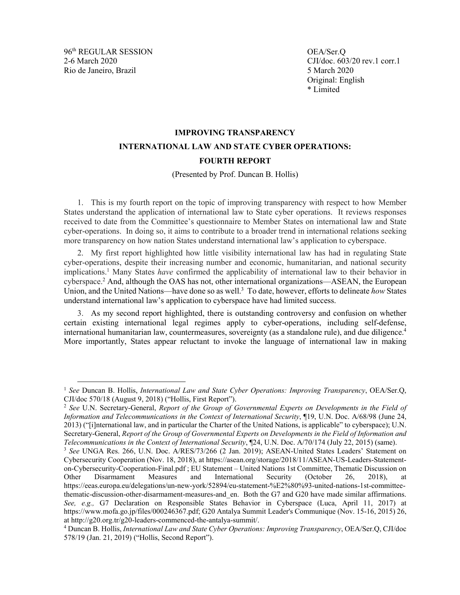96th REGULAR SESSION OEA/Ser.Q Rio de Janeiro, Brazil **5 March 2020** 

2-6 March 2020 CJI/doc. 603/20 rev.1 corr.1 Original: English \* Limited

# **IMPROVING TRANSPARENCY INTERNATIONAL LAW AND STATE CYBER OPERATIONS: FOURTH REPORT**

#### <span id="page-0-0"></span>(Presented by Prof. Duncan B. Hollis)

1. This is my fourth report on the topic of improving transparency with respect to how Member States understand the application of international law to State cyber operations. It reviews responses received to date from the Committee's questionnaire to Member States on international law and State cyber-operations. In doing so, it aims to contribute to a broader trend in international relations seeking more transparency on how nation States understand international law's application to cyberspace.

<span id="page-0-1"></span>2. My first report highlighted how little visibility international law has had in regulating State cyber-operations, despite their increasing number and economic, humanitarian, and national security implications.1 Many States *have* confirmed the applicability of international law to their behavior in cyberspace.2 And, although the OAS has not, other international organizations—ASEAN, the European Union, and the United Nations—have done so as well. <sup>3</sup> To date, however, efforts to delineate *how* States understand international law's application to cyberspace have had limited success.

3. As my second report highlighted, there is outstanding controversy and confusion on whether certain existing international legal regimes apply to cyber-operations, including self-defense, international humanitarian law, countermeasures, sovereignty (as a standalone rule), and due diligence.<sup>4</sup> More importantly, States appear reluctant to invoke the language of international law in making

 <sup>1</sup> *See* Duncan B. Hollis, *International Law and State Cyber Operations: Improving Transparency*, OEA/Ser.Q, CJI/doc 570/18 (August 9, 2018) ("Hollis, First Report").

<sup>2</sup> *See* U.N. Secretary-General, *Report of the Group of Governmental Experts on Developments in the Field of Information and Telecommunications in the Context of International Security*, ¶19, U.N. Doc. A/68/98 (June 24, 2013) ("[i]nternational law, and in particular the Charter of the United Nations, is applicable" to cyberspace); U.N. Secretary-General, *Report of the Group of Governmental Experts on Developments in the Field of Information and Telecommunications in the Context of International Security*, ¶24, U.N. Doc. A/70/174 (July 22, 2015) (same).

<sup>3</sup> *See* UNGA Res. 266, U.N. Doc. A/RES/73/266 (2 Jan. 2019); ASEAN-United States Leaders' Statement on Cybersecurity Cooperation (Nov. 18, 2018), at https://asean.org/storage/2018/11/ASEAN-US-Leaders-Statementon-Cybersecurity-Cooperation-Final.pdf ; EU Statement – United Nations 1st Committee, Thematic Discussion on Other Disarmament Measures and International Security (October 26, 2018), at https://eeas.europa.eu/delegations/un-new-york/52894/eu-statement-%E2%80%93-united-nations-1st-committeethematic-discussion-other-disarmament-measures-and\_en. Both the G7 and G20 have made similar affirmations. *See, e.g.,* G7 Declaration on Responsible States Behavior in Cyberspace (Luca, April 11, 2017) at https://www.mofa.go.jp/files/000246367.pdf; G20 Antalya Summit Leader's Communique (Nov. 15-16, 2015) 26, at http://g20.org.tr/g20-leaders-commenced-the-antalya-summit/.

<sup>4</sup> Duncan B. Hollis, *International Law and State Cyber Operations: Improving Transparency*, OEA/Ser.Q, CJI/doc 578/19 (Jan. 21, 2019) ("Hollis, Second Report").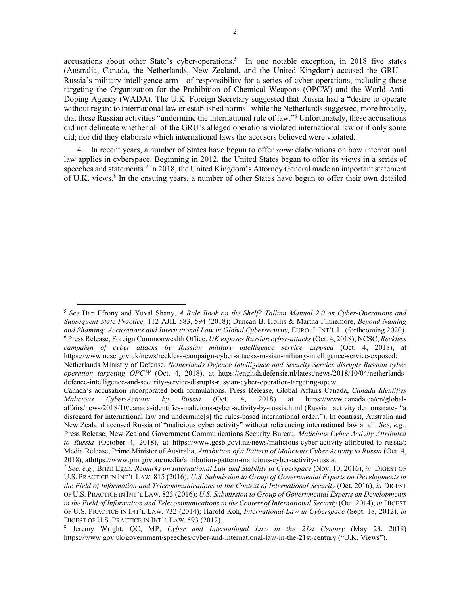accusations about other State's cyber-operations.<sup>5</sup> In one notable exception, in 2018 five states (Australia, Canada, the Netherlands, New Zealand, and the United Kingdom) accused the GRU— Russia's military intelligence arm—of responsibility for a series of cyber operations, including those targeting the Organization for the Prohibition of Chemical Weapons (OPCW) and the World Anti-Doping Agency (WADA). The U.K. Foreign Secretary suggested that Russia had a "desire to operate without regard to international law or established norms" while the Netherlands suggested, more broadly, that these Russian activities "undermine the international rule of law."6 Unfortunately, these accusations did not delineate whether all of the GRU's alleged operations violated international law or if only some did; nor did they elaborate which international laws the accusers believed were violated.

<span id="page-1-2"></span><span id="page-1-1"></span><span id="page-1-0"></span>4. In recent years, a number of States have begun to offer *some* elaborations on how international law applies in cyberspace. Beginning in 2012, the United States began to offer its views in a series of speeches and statements.<sup>7</sup> In 2018, the United Kingdom's Attorney General made an important statement of U.K. views.8 In the ensuing years, a number of other States have begun to offer their own detailed

 <sup>5</sup> *See* Dan Efrony and Yuval Shany, *A Rule Book on the Shelf? Tallinn Manual 2.0 on Cyber-Operations and Subsequent State Practice,* 112 AJIL 583, 594 (2018); Duncan B. Hollis & Martha Finnemore, *Beyond Naming*  and Shaming: Accusations and International Law in Global Cybersecurity, EURO. J. INT'L L. (forthcoming 2020). <sup>6</sup> Press Release, Foreign Commonwealth Office, *UK exposes Russian cyber-attacks*(Oct. 4, 2018); NCSC, *Reckless campaign of cyber attacks by Russian military intelligence service exposed* (Oct. 4, 2018), at https://www.ncsc.gov.uk/news/reckless-campaign-cyber-attacks-russian-military-intelligence-service-exposed; Netherlands Ministry of Defense, *Netherlands Defence Intelligence and Security Service disrupts Russian cyber* 

*operation targeting OPCW* (Oct. 4, 2018), at https://english.defensie.nl/latest/news/2018/10/04/netherlandsdefence-intelligence-and-security-service-disrupts-russian-cyber-operation-targeting-opcw.

Canada's accusation incorporated both formulations. Press Release, Global Affairs Canada, *Canada Identifies Malicious Cyber-Activity by Russia* (Oct. 4, 2018) at https://www.canada.ca/en/globalaffairs/news/2018/10/canada-identifies-malicious-cyber-activity-by-russia.html (Russian activity demonstrates "a disregard for international law and undermine[s] the rules-based international order."). In contrast, Australia and New Zealand accused Russia of "malicious cyber activity" without referencing international law at all. *See, e.g.,*  Press Release, New Zealand Government Communications Security Bureau, *Malicious Cyber Activity Attributed to Russia* (October 4, 2018), at https://www.gcsb.govt.nz/news/malicious-cyber-activity-attributed-to-russia/; Media Release, Prime Minister of Australia, *Attribution of a Pattern of Malicious Cyber Activity to Russia* (Oct. 4, 2018), athttps://www.pm.gov.au/media/attribution-pattern-malicious-cyber-activity-russia.

<sup>&</sup>lt;sup>7</sup> See, e.g., Brian Egan, *Remarks on International Law and Stability in Cyberspace* (Nov. 10, 2016), *in* DIGEST OF U.S. PRACTICE IN INT'L LAW. 815 (2016); *U.S. Submission to Group of Governmental Experts on Developments in the Field of Information and Telecommunications in the Context of International Security* (Oct. 2016), *in* DIGEST OF U.S. PRACTICE IN INT'L LAW. 823 (2016); *U.S. Submission to Group of Governmental Experts on Developments in the Field of Information and Telecommunications in the Context of International Security* (Oct. 2014), *in* DIGEST OF U.S. PRACTICE IN INT'L LAW. 732 (2014); Harold Koh, *International Law in Cyberspace* (Sept. 18, 2012), *in*  DIGEST OF U.S. PRACTICE IN INT'L LAW. 593 (2012).

<sup>8</sup> Jeremy Wright, QC, MP, *Cyber and International Law in the 21st Century* (May 23, 2018) https://www.gov.uk/government/speeches/cyber-and-international-law-in-the-21st-century ("U.K. Views").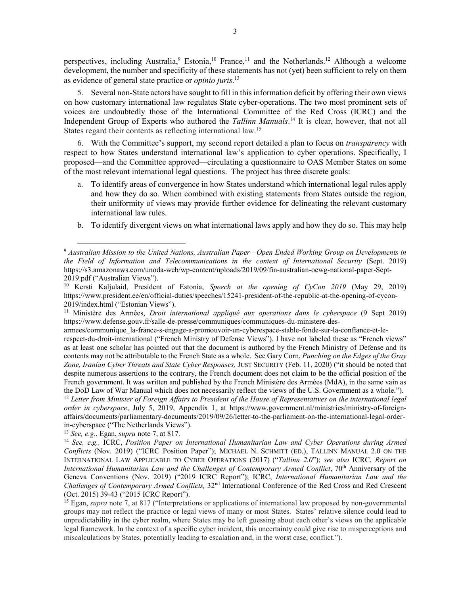<span id="page-2-3"></span><span id="page-2-2"></span><span id="page-2-1"></span>perspectives, including Australia,<sup>9</sup> Estonia,<sup>10</sup> France,<sup>11</sup> and the Netherlands.<sup>12</sup> Although a welcome development, the number and specificity of these statements has not (yet) been sufficient to rely on them as evidence of general state practice or *opinio juris*. 13

5. Several non-State actors have sought to fill in this information deficit by offering their own views on how customary international law regulates State cyber-operations. The two most prominent sets of voices are undoubtedly those of the International Committee of the Red Cross (ICRC) and the Independent Group of Experts who authored the *Tallinn Manuals*. <sup>14</sup> It is clear, however, that not all States regard their contents as reflecting international law.15

6. With the Committee's support, my second report detailed a plan to focus on *transparency* with respect to how States understand international law's application to cyber operations. Specifically, I proposed—and the Committee approved—circulating a questionnaire to OAS Member States on some of the most relevant international legal questions. The project has three discrete goals:

- <span id="page-2-0"></span>a. To identify areas of convergence in how States understand which international legal rules apply and how they do so. When combined with existing statements from States outside the region, their uniformity of views may provide further evidence for delineating the relevant customary international law rules.
- b. To identify divergent views on what international laws apply and how they do so. This may help

armees/communique\_la-france-s-engage-a-promouvoir-un-cyberespace-stable-fonde-sur-la-confiance-et-le-

respect-du-droit-international ("French Ministry of Defense Views"). I have not labeled these as "French views" as at least one scholar has pointed out that the document is authored by the French Ministry of Defense and its contents may not be attributable to the French State as a whole. See Gary Corn, *Punching on the Edges of the Gray Zone, Iranian Cyber Threats and State Cyber Responses,* JUST SECURITY (Feb. 11, 2020) ("it should be noted that despite numerous assertions to the contrary, the French document does not claim to be the official position of the French government. It was written and published by the French Ministère des Armées (MdA), in the same vain as the DoD Law of War Manual which does not necessarily reflect the views of the U.S. Government as a whole.").<br><sup>12</sup> Letter from Minister of Foreign Affairs to President of the House of Representatives on the international le

*order in cyberspace*, July 5, 2019, Appendix 1, at https://www.government.nl/ministries/ministry-of-foreignaffairs/documents/parliamentary-documents/2019/09/26/letter-to-the-parliament-on-the-international-legal-orderin-cyberspace ("The Netherlands Views").<br><sup>13</sup> See, e.g., Egan, *supra* note 7, at 817.

 <sup>9</sup> *Australian Mission to the United Nations, Australian Paper—Open Ended Working Group on Developments in the Field of Information and Telecommunications in the context of International Security* (Sept. 2019) https://s3.amazonaws.com/unoda-web/wp-content/uploads/2019/09/fin-australian-oewg-national-paper-Sept-2019.pdf ("Australian Views").

<sup>10</sup> Kersti Kaljulaid, President of Estonia, *Speech at the opening of CyCon 2019* (May 29, 2019) https://www.president.ee/en/official-duties/speeches/15241-president-of-the-republic-at-the-opening-of-cycon-2019/index.html ("Estonian Views").

<sup>11</sup> Ministère des Armées, *Droit international appliqué aux operations dans le cyberspace* (9 Sept 2019) https://www.defense.gouv.fr/salle-de-presse/communiques/communiques-du-ministere-des-

<sup>&</sup>lt;sup>14</sup> *See, e.g., ICRC, Position Paper on International Humanitarian Law and Cyber Operations during Armed Conflicts* (Nov. 2019) ("ICRC Position Paper"); MICHAEL N. SCHMITT (ED.), TALLINN MANUAL 2.0 ON THE INTERNATIONAL LAW APPLICABLE TO CYBER OPERATIONS (2017) ("*Tallinn 2.0*"); *see also* ICRC, *Report on International Humanitarian Law and the Challenges of Contemporary Armed Conflict*, 70th Anniversary of the Geneva Conventions (Nov. 2019) ("2019 ICRC Report"); ICRC, *International Humanitarian Law and the Challenges of Contemporary Armed Conflicts,* 32nd International Conference of the Red Cross and Red Crescent (Oct. 2015) 39-43 ("2015 ICRC Report").

<sup>&</sup>lt;sup>15</sup> Egan, *supra* note [7,](#page-1-1) at 817 ("Interpretations or applications of international law proposed by non-governmental groups may not reflect the practice or legal views of many or most States. States' relative silence could lead to unpredictability in the cyber realm, where States may be left guessing about each other's views on the applicable legal framework. In the context of a specific cyber incident, this uncertainty could give rise to misperceptions and miscalculations by States, potentially leading to escalation and, in the worst case, conflict.").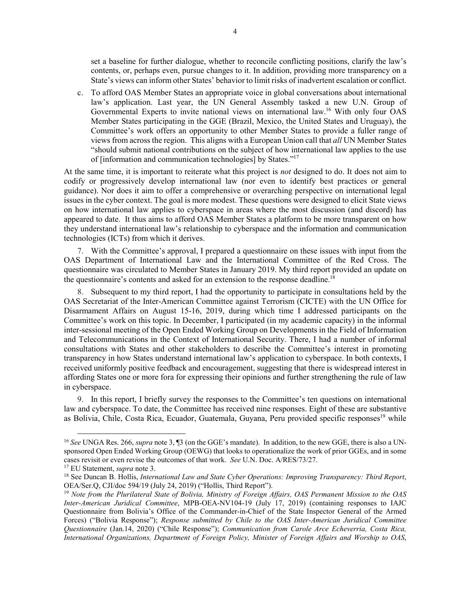set a baseline for further dialogue, whether to reconcile conflicting positions, clarify the law's contents, or, perhaps even, pursue changes to it. In addition, providing more transparency on a State's views can inform other States' behavior to limit risks of inadvertent escalation or conflict.

c. To afford OAS Member States an appropriate voice in global conversations about international law's application. Last year, the UN General Assembly tasked a new U.N. Group of Governmental Experts to invite national views on international law. <sup>16</sup> With only four OAS Member States participating in the GGE (Brazil, Mexico, the United States and Uruguay), the Committee's work offers an opportunity to other Member States to provide a fuller range of views from across the region. This aligns with a European Union call that *all* UN Member States "should submit national contributions on the subject of how international law applies to the use of [information and communication technologies] by States."17

At the same time, it is important to reiterate what this project is *not* designed to do. It does not aim to codify or progressively develop international law (nor even to identify best practices or general guidance). Nor does it aim to offer a comprehensive or overarching perspective on international legal issues in the cyber context. The goal is more modest. These questions were designed to elicit State views on how international law applies to cyberspace in areas where the most discussion (and discord) has appeared to date. It thus aims to afford OAS Member States a platform to be more transparent on how they understand international law's relationship to cyberspace and the information and communication technologies (ICTs) from which it derives.

7. With the Committee's approval, I prepared a questionnaire on these issues with input from the OAS Department of International Law and the International Committee of the Red Cross. The questionnaire was circulated to Member States in January 2019. My third report provided an update on the questionnaire's contents and asked for an extension to the response deadline.<sup>18</sup>

8. Subsequent to my third report, I had the opportunity to participate in consultations held by the OAS Secretariat of the Inter-American Committee against Terrorism (CICTE) with the UN Office for Disarmament Affairs on August 15-16, 2019, during which time I addressed participants on the Committee's work on this topic. In December, I participated (in my academic capacity) in the informal inter-sessional meeting of the Open Ended Working Group on Developments in the Field of Information and Telecommunications in the Context of International Security. There, I had a number of informal consultations with States and other stakeholders to describe the Committee's interest in promoting transparency in how States understand international law's application to cyberspace. In both contexts, I received uniformly positive feedback and encouragement, suggesting that there is widespread interest in affording States one or more fora for expressing their opinions and further strengthening the rule of law in cyberspace.

<span id="page-3-0"></span>9. In this report, I briefly survey the responses to the Committee's ten questions on international law and cyberspace. To date, the Committee has received nine responses. Eight of these are substantive as Bolivia, Chile, Costa Rica, Ecuador, Guatemala, Guyana, Peru provided specific responses<sup>19</sup> while

 <sup>16</sup> *See* UNGA Res. 266, *supra* note [3,](#page-0-0) ¶3 (on the GGE's mandate). In addition, to the new GGE, there is also a UNsponsored Open Ended Working Group (OEWG) that looks to operationalize the work of prior GGEs, and in some cases revisit or even revise the outcomes of that work. *See* U.N. Doc. A/RES/73/27.

<sup>17</sup> EU Statement, *supra* note [3.](#page-0-0)

<sup>18</sup> See Duncan B. Hollis, *International Law and State Cyber Operations: Improving Transparency: Third Report*, OEA/Ser.Q, CJI/doc 594/19 (July 24, 2019) ("Hollis, Third Report").

<sup>19</sup> *Note from the Plurilateral State of Bolivia, Ministry of Foreign Affairs, OAS Permanent Mission to the OAS Inter-American Juridical Committee*, MPB-OEA-NV104-19 (July 17, 2019) (containing responses to IAJC Questionnaire from Bolivia's Office of the Commander-in-Chief of the State Inspector General of the Armed Forces) ("Bolivia Response"); *Response submitted by Chile to the OAS Inter-American Juridical Committee Questionnaire* (Jan.14, 2020) ("Chile Response"); *Communication from Carole Arce Echeverria, Costa Rica, International Organizations, Department of Foreign Policy, Minister of Foreign Affairs and Worship to OAS*,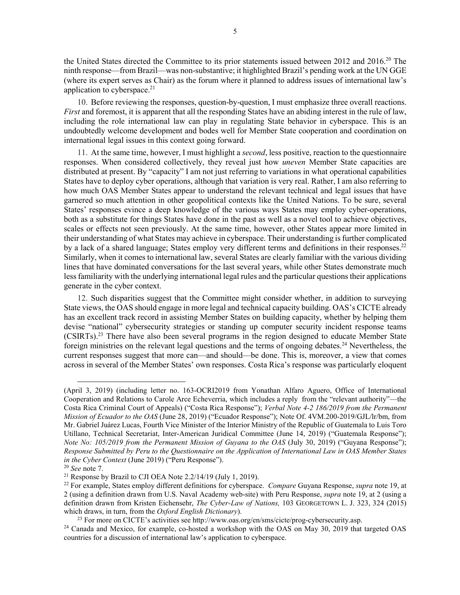the United States directed the Committee to its prior statements issued between 2012 and 2016.<sup>20</sup> The ninth response—from Brazil—was non-substantive; it highlighted Brazil's pending work at the UN GGE (where its expert serves as Chair) as the forum where it planned to address issues of international law's application to cyberspace.<sup>21</sup>

10. Before reviewing the responses, question-by-question, I must emphasize three overall reactions. *First* and foremost, it is apparent that all the responding States have an abiding interest in the rule of law, including the role international law can play in regulating State behavior in cyberspace. This is an undoubtedly welcome development and bodes well for Member State cooperation and coordination on international legal issues in this context going forward.

11. At the same time, however, I must highlight a *second*, less positive, reaction to the questionnaire responses. When considered collectively, they reveal just how *uneven* Member State capacities are distributed at present. By "capacity" I am not just referring to variations in what operational capabilities States have to deploy cyber operations, although that variation is very real. Rather, I am also referring to how much OAS Member States appear to understand the relevant technical and legal issues that have garnered so much attention in other geopolitical contexts like the United Nations. To be sure, several States' responses evince a deep knowledge of the various ways States may employ cyber-operations, both as a substitute for things States have done in the past as well as a novel tool to achieve objectives, scales or effects not seen previously. At the same time, however, other States appear more limited in their understanding of what States may achieve in cyberspace. Their understanding is further complicated by a lack of a shared language; States employ very different terms and definitions in their responses.<sup>22</sup> Similarly, when it comes to international law, several States are clearly familiar with the various dividing lines that have dominated conversations for the last several years, while other States demonstrate much less familiarity with the underlying international legal rules and the particular questions their applications generate in the cyber context.

12. Such disparities suggest that the Committee might consider whether, in addition to surveying State views, the OAS should engage in more legal and technical capacity building. OAS's CICTE already has an excellent track record in assisting Member States on building capacity, whether by helping them devise "national" cybersecurity strategies or standing up computer security incident response teams (CSIRTs).23 There have also been several programs in the region designed to educate Member State foreign ministries on the relevant legal questions and the terms of ongoing debates.24 Nevertheless, the current responses suggest that more can—and should—be done. This is, moreover, a view that comes across in several of the Member States' own responses. Costa Rica's response was particularly eloquent

<u>.</u>

<sup>(</sup>April 3, 2019) (including letter no. 163-OCRI2019 from Yonathan Alfaro Aguero, Office of International Cooperation and Relations to Carole Arce Echeverria, which includes a reply from the "relevant authority"—the Costa Rica Criminal Court of Appeals) ("Costa Rica Response"); *Verbal Note 4-2 186/2019 from the Permanent Mission of Ecuador to the OAS* (June 28, 2019) ("Ecuador Response"); Note Of. 4VM.200-2019/GJL/lr/bm, from Mr. Gabriel Juárez Lucas, Fourth Vice Minister of the Interior Ministry of the Republic of Guatemala to Luis Toro Utillano, Technical Secretariat, Inter-American Juridical Committee (June 14, 2019) ("Guatemala Response"); *Note No: 105/2019 from the Permanent Mission of Guyana to the OAS* (July 30, 2019) ("Guyana Response"); *Response Submitted by Peru to the Questionnaire on the Application of International Law in OAS Member States in the Cyber Context (June 2019) ("Peru Response").* 

<sup>&</sup>lt;sup>20</sup> See note [7.](#page-1-0)<br><sup>21</sup> Response by Brazil to CJI OEA Note 2.2/14/19 (July 1, 2019).<br><sup>22</sup> For example, States employ different definitions for cyberspace. *Compare* Guyana Response, *supra* note [19,](#page-3-0) at 2 (using a definition drawn from U.S. Naval Academy web-site) with Peru Response, *supra* note [19,](#page-3-0) at 2 (using a definition drawn from Kristen Eichensehr, *The Cyber-Law of Nations,* 103 GEORGETOWN L. J. 323, 324 (2015) which draws, in turn, from the *Oxford English Dictionary*).<br><sup>23</sup> For more on CICTE's activities see http://www.oas.org/en/sms/cicte/prog-cybersecurity.asp.

<sup>&</sup>lt;sup>24</sup> Canada and Mexico, for example, co-hosted a workshop with the OAS on May 30, 2019 that targeted OAS countries for a discussion of international law's application to cyberspace.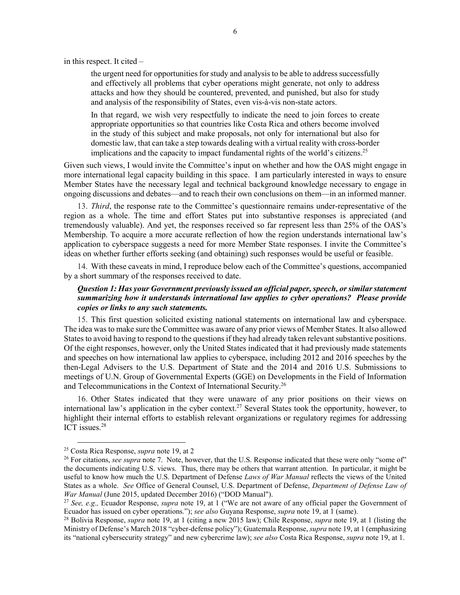in this respect. It cited –

the urgent need for opportunities for study and analysis to be able to address successfully and effectively all problems that cyber operations might generate, not only to address attacks and how they should be countered, prevented, and punished, but also for study and analysis of the responsibility of States, even vis-à-vis non-state actors.

In that regard, we wish very respectfully to indicate the need to join forces to create appropriate opportunities so that countries like Costa Rica and others become involved in the study of this subject and make proposals, not only for international but also for domestic law, that can take a step towards dealing with a virtual reality with cross-border implications and the capacity to impact fundamental rights of the world's citizens.<sup>25</sup>

Given such views, I would invite the Committee's input on whether and how the OAS might engage in more international legal capacity building in this space. I am particularly interested in ways to ensure Member States have the necessary legal and technical background knowledge necessary to engage in ongoing discussions and debates—and to reach their own conclusions on them—in an informed manner.

13. *Third*, the response rate to the Committee's questionnaire remains under-representative of the region as a whole. The time and effort States put into substantive responses is appreciated (and tremendously valuable). And yet, the responses received so far represent less than 25% of the OAS's Membership. To acquire a more accurate reflection of how the region understands international law's application to cyberspace suggests a need for more Member State responses. I invite the Committee's ideas on whether further efforts seeking (and obtaining) such responses would be useful or feasible.

14. With these caveats in mind, I reproduce below each of the Committee's questions, accompanied by a short summary of the responses received to date.

# *Question 1: Has your Government previously issued an official paper, speech, or similar statement summarizing how it understands international law applies to cyber operations? Please provide copies or links to any such statements.*

15. This first question solicited existing national statements on international law and cyberspace. The idea was to make sure the Committee was aware of any prior views of Member States. It also allowed States to avoid having to respond to the questions if they had already taken relevant substantive positions. Of the eight responses, however, only the United States indicated that it had previously made statements and speeches on how international law applies to cyberspace, including 2012 and 2016 speeches by the then-Legal Advisers to the U.S. Department of State and the 2014 and 2016 U.S. Submissions to meetings of U.N. Group of Governmental Experts (GGE) on Developments in the Field of Information and Telecommunications in the Context of International Security.26

16. Other States indicated that they were unaware of any prior positions on their views on international law's application in the cyber context.<sup>27</sup> Several States took the opportunity, however, to highlight their internal efforts to establish relevant organizations or regulatory regimes for addressing ICT issues.<sup>28</sup>

<sup>&</sup>lt;sup>25</sup> Costa Rica Response, *supra* not[e 19,](#page-3-0) at 2<br><sup>26</sup> For citations, *see supra* note [7.](#page-1-0) Note, however, that the U.S. Response indicated that these were only "some of" the documents indicating U.S. views. Thus, there may be others that warrant attention. In particular, it might be useful to know how much the U.S. Department of Defense *Laws of War Manual* reflects the views of the United States as a whole. *See* Office of General Counsel, U.S. Department of Defense, *Department of Defense Law of War Manual* (June 2015, updated December 2016) ("DOD Manual").

<sup>27</sup> *See, e.g.,* Ecuador Response, *supra* note [19,](#page-3-0) at 1 ("We are not aware of any official paper the Government of Ecuador has issued on cyber operations."); *see also* Guyana Response, *supra* note [19,](#page-3-0) at 1 (same).

<sup>28</sup> Bolivia Response, *supra* note [19,](#page-3-0) at 1 (citing a new 2015 law); Chile Response, *supra* note [19,](#page-3-0) at 1 (listing the Ministry of Defense's March 2018 "cyber-defense policy"); Guatemala Response, *supra* not[e 19,](#page-3-0) at 1 (emphasizing its "national cybersecurity strategy" and new cybercrime law); *see also* Costa Rica Response, *supra* not[e 19,](#page-3-0) at 1.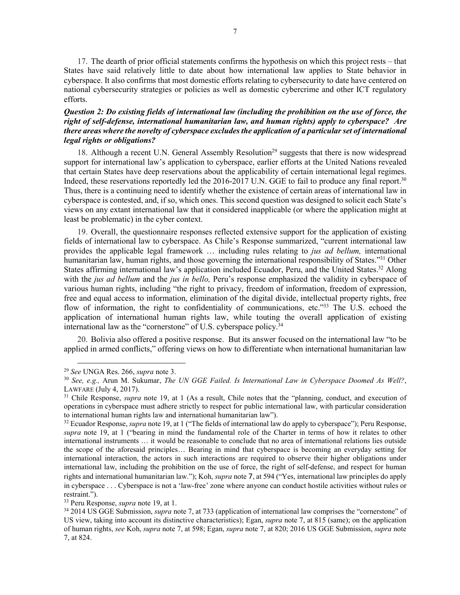17. The dearth of prior official statements confirms the hypothesis on which this project rests – that States have said relatively little to date about how international law applies to State behavior in cyberspace. It also confirms that most domestic efforts relating to cybersecurity to date have centered on national cybersecurity strategies or policies as well as domestic cybercrime and other ICT regulatory efforts.

# *Question 2: Do existing fields of international law (including the prohibition on the use of force, the right of self-defense, international humanitarian law, and human rights) apply to cyberspace? Are there areas where the novelty of cyberspace excludes the application of a particular set of international legal rights or obligations?*

18. Although a recent U.N. General Assembly Resolution<sup>29</sup> suggests that there is now widespread support for international law's application to cyberspace, earlier efforts at the United Nations revealed that certain States have deep reservations about the applicability of certain international legal regimes. Indeed, these reservations reportedly led the 2016-2017 U.N. GGE to fail to produce any final report.<sup>30</sup> Thus, there is a continuing need to identify whether the existence of certain areas of international law in cyberspace is contested, and, if so, which ones. This second question was designed to solicit each State's views on any extant international law that it considered inapplicable (or where the application might at least be problematic) in the cyber context.

19. Overall, the questionnaire responses reflected extensive support for the application of existing fields of international law to cyberspace. As Chile's Response summarized, "current international law provides the applicable legal framework … including rules relating to *jus ad bellum,* international humanitarian law, human rights, and those governing the international responsibility of States."31 Other States affirming international law's application included Ecuador, Peru, and the United States.<sup>32</sup> Along with the *jus ad bellum* and the *jus in bello,* Peru's response emphasized the validity in cyberspace of various human rights, including "the right to privacy, freedom of information, freedom of expression, free and equal access to information, elimination of the digital divide, intellectual property rights, free flow of information, the right to confidentiality of communications, etc."33 The U.S. echoed the application of international human rights law, while touting the overall application of existing international law as the "cornerstone" of U.S. cyberspace policy.<sup>34</sup>

20. Bolivia also offered a positive response. But its answer focused on the international law "to be applied in armed conflicts," offering views on how to differentiate when international humanitarian law

<sup>29</sup> *See* UNGA Res. 266, *supra* note [3.](#page-0-0) 30 *See, e.g.,* Arun M. Sukumar, *The UN GGE Failed. Is International Law in Cyberspace Doomed As Well?*, LAWFARE (July 4, 2017).

<sup>31</sup> Chile Response, *supra* note [19,](#page-3-0) at 1 (As a result, Chile notes that the "planning, conduct, and execution of operations in cyberspace must adhere strictly to respect for public international law, with particular consideration to international human rights law and international humanitarian law"). 32 Ecuador Response, *supra* not[e 19,](#page-3-0) at 1 ("The fields of international law do apply to cyberspace"); Peru Response,

*supra* note [19,](#page-3-0) at 1 ("bearing in mind the fundamental role of the Charter in terms of how it relates to other international instruments … it would be reasonable to conclude that no area of international relations lies outside the scope of the aforesaid principles… Bearing in mind that cyberspace is becoming an everyday setting for international interaction, the actors in such interactions are required to observe their higher obligations under international law, including the prohibition on the use of force, the right of self-defense, and respect for human rights and international humanitarian law."); Koh, *supra* note [7](#page-1-0), at 594 ("Yes, international law principles do apply in cyberspace . . . Cyberspace is not a 'law-free' zone where anyone can conduct hostile activities without rules or restraint."). 33 Peru Response, *supra* note [19,](#page-3-0) at 1.

<sup>34</sup> 2014 US GGE Submission, *supra* not[e 7,](#page-1-0) at 733 (application of international law comprises the "cornerstone" of US view, taking into account its distinctive characteristics); Egan, *supra* note [7,](#page-1-0) at 815 (same); on the application of human rights, *see* Koh, *supra* note [7,](#page-1-0) at 598; Egan, *supra* note [7,](#page-1-0) at 820; 2016 US GGE Submission, *supra* note [7,](#page-1-0) at 824.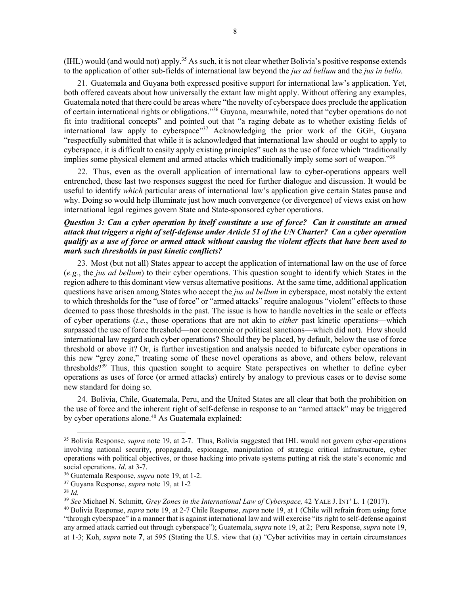(IHL) would (and would not) apply.<sup>35</sup> As such, it is not clear whether Bolivia's positive response extends to the application of other sub-fields of international law beyond the *jus ad bellum* and the *jus in bello*.

21. Guatemala and Guyana both expressed positive support for international law's application. Yet, both offered caveats about how universally the extant law might apply. Without offering any examples, Guatemala noted that there could be areas where "the novelty of cyberspace does preclude the application of certain international rights or obligations."36 Guyana, meanwhile, noted that "cyber operations do not fit into traditional concepts" and pointed out that "a raging debate as to whether existing fields of international law apply to cyberspace"<sup>37</sup> Acknowledging the prior work of the GGE, Guyana "respectfully submitted that while it is acknowledged that international law should or ought to apply to cyberspace, it is difficult to easily apply existing principles" such as the use of force which "traditionally implies some physical element and armed attacks which traditionally imply some sort of weapon."<sup>38</sup>

22. Thus, even as the overall application of international law to cyber-operations appears well entrenched, these last two responses suggest the need for further dialogue and discussion. It would be useful to identify *which* particular areas of international law's application give certain States pause and why. Doing so would help illuminate just how much convergence (or divergence) of views exist on how international legal regimes govern State and State-sponsored cyber operations.

#### *Question 3: Can a cyber operation by itself constitute a use of force? Can it constitute an armed attack that triggers a right of self-defense under Article 51 of the UN Charter? Can a cyber operation qualify as a use of force or armed attack without causing the violent effects that have been used to mark such thresholds in past kinetic conflicts?*

23. Most (but not all) States appear to accept the application of international law on the use of force (*e.g.*, the *jus ad bellum*) to their cyber operations. This question sought to identify which States in the region adhere to this dominant view versus alternative positions. At the same time, additional application questions have arisen among States who accept the *jus ad bellum* in cyberspace, most notably the extent to which thresholds for the "use of force" or "armed attacks" require analogous "violent" effects to those deemed to pass those thresholds in the past. The issue is how to handle novelties in the scale or effects of cyber operations (*i.e.*, those operations that are not akin to *either* past kinetic operations—which surpassed the use of force threshold—nor economic or political sanctions—which did not). How should international law regard such cyber operations? Should they be placed, by default, below the use of force threshold or above it? Or, is further investigation and analysis needed to bifurcate cyber operations in this new "grey zone," treating some of these novel operations as above, and others below, relevant thresholds?39 Thus, this question sought to acquire State perspectives on whether to define cyber operations as uses of force (or armed attacks) entirely by analogy to previous cases or to devise some new standard for doing so.

24. Bolivia, Chile, Guatemala, Peru, and the United States are all clear that both the prohibition on the use of force and the inherent right of self-defense in response to an "armed attack" may be triggered by cyber operations alone.<sup>40</sup> As Guatemala explained:

 <sup>35</sup> Bolivia Response, *supra* note [19,](#page-3-0) at 2-7. Thus, Bolivia suggested that IHL would not govern cyber-operations involving national security, propaganda, espionage, manipulation of strategic critical infrastructure, cyber operations with political objectives, or those hacking into private systems putting at risk the state's economic and social operations. *Id*. at 3-7. 36 Guatemala Response, *supra* note [19,](#page-3-0) at 1-2. 37 Guyana Response, *supra* note [19,](#page-3-0) at 1-2

<sup>38</sup> *Id.*

<sup>39</sup> *See* Michael N. Schmitt, *Grey Zones in the International Law of Cyberspace,* 42 YALE J. INT' L. 1 (2017).

<sup>40</sup> Bolivia Response, *supra* note [19,](#page-3-0) at 2-7 Chile Response, *supra* not[e 19,](#page-3-0) at 1 (Chile will refrain from using force "through cyberspace" in a manner that is against international law and will exercise "its right to self-defense against any armed attack carried out through cyberspace"); Guatemala, *supra* not[e 19,](#page-3-0) at 2; Peru Response, *supra* not[e 19,](#page-3-0) at 1-3; Koh, *supra* note [7](#page-1-0), at 595 (Stating the U.S. view that (a) "Cyber activities may in certain circumstances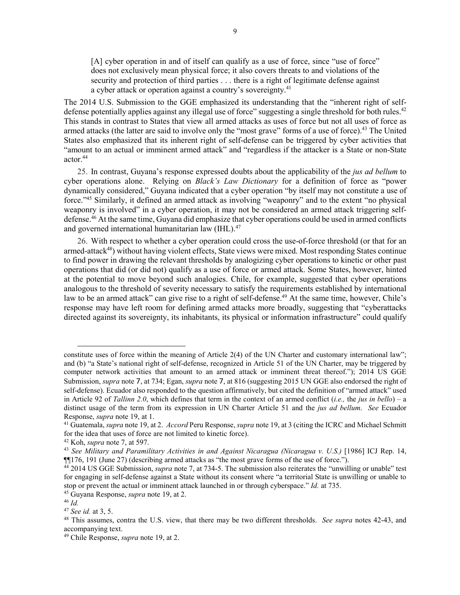<span id="page-8-1"></span><span id="page-8-0"></span>[A] cyber operation in and of itself can qualify as a use of force, since "use of force" does not exclusively mean physical force; it also covers threats to and violations of the security and protection of third parties . . . there is a right of legitimate defense against a cyber attack or operation against a country's sovereignty.<sup>41</sup>

The 2014 U.S. Submission to the GGE emphasized its understanding that the "inherent right of selfdefense potentially applies against any illegal use of force" suggesting a single threshold for both rules.<sup>42</sup> This stands in contrast to States that view all armed attacks as uses of force but not all uses of force as armed attacks (the latter are said to involve only the "most grave" forms of a use of force).<sup>43</sup> The United States also emphasized that its inherent right of self-defense can be triggered by cyber activities that "amount to an actual or imminent armed attack" and "regardless if the attacker is a State or non-State actor.44

25. In contrast, Guyana's response expressed doubts about the applicability of the *jus ad bellum* to cyber operations alone. Relying on *Black's Law Dictionary* for a definition of force as "power dynamically considered," Guyana indicated that a cyber operation "by itself may not constitute a use of force."45 Similarly, it defined an armed attack as involving "weaponry" and to the extent "no physical weaponry is involved" in a cyber operation, it may not be considered an armed attack triggering selfdefense.<sup>46</sup> At the same time, Guyana did emphasize that cyber operations could be used in armed conflicts and governed international humanitarian law (IHL).<sup>47</sup>

26. With respect to whether a cyber operation could cross the use-of-force threshold (or that for an armed-attack<sup>48</sup>) without having violent effects, State views were mixed. Most responding States continue to find power in drawing the relevant thresholds by analogizing cyber operations to kinetic or other past operations that did (or did not) qualify as a use of force or armed attack. Some States, however, hinted at the potential to move beyond such analogies. Chile, for example, suggested that cyber operations analogous to the threshold of severity necessary to satisfy the requirements established by international law to be an armed attack" can give rise to a right of self-defense.<sup>49</sup> At the same time, however, Chile's response may have left room for defining armed attacks more broadly, suggesting that "cyberattacks directed against its sovereignty, its inhabitants, its physical or information infrastructure" could qualify

<u>.</u>

constitute uses of force within the meaning of Article 2(4) of the UN Charter and customary international law"; and (b) "a State's national right of self-defense, recognized in Article 51 of the UN Charter, may be triggered by computer network activities that amount to an armed attack or imminent threat thereof."); 2014 US GGE Submission, *supra* note [7](#page-1-0), at 734; Egan, *supra* note [7](#page-1-0), at 816 (suggesting 2015 UN GGE also endorsed the right of self-defense). Ecuador also responded to the question affirmatively, but cited the definition of "armed attack" used in Article 92 of *Tallinn 2.0*, which defines that term in the context of an armed conflict (*i.e.,* the *jus in bello*) – a distinct usage of the term from its expression in UN Charter Article 51 and the *jus ad bellum*. *See* Ecuador Response, *supra* note [19,](#page-3-0) at 1.<br><sup>41</sup> Guatemala, *supra* not[e 19,](#page-3-0) at 2. *Accord* Peru Response, *supra* note 19, at 3 (citing the ICRC and Michael Schmitt

for the idea that uses of force are not limited to kinetic force).

<sup>42</sup> Koh, *supra* note [7,](#page-1-0) at 597.

<sup>43</sup> *See Military and Paramilitary Activities in and Against Nicaragua (Nicaragua v. U.S.)* [1986] ICJ Rep. 14, ¶¶176, 191 (June 27) (describing armed attacks as "the most grave forms of the use of force.").

<sup>44</sup> 2014 US GGE Submission, *supra* not[e 7,](#page-1-0) at 734-5. The submission also reiterates the "unwilling or unable" test for engaging in self-defense against a State without its consent where "a territorial State is unwilling or unable to stop or prevent the actual or imminent attack launched in or through cyberspace." *Id.* at 735.

<sup>45</sup> Guyana Response, *supra* note [19,](#page-3-0) at 2. 46 *Id.*

<sup>47</sup> *See id.* at 3, 5.

<sup>48</sup> This assumes, contra the U.S. view, that there may be two different thresholds. *See supra* notes [42](#page-8-0)[-43,](#page-8-1) and accompanying text.

<sup>49</sup> Chile Response, *supra* note [19,](#page-3-0) at 2.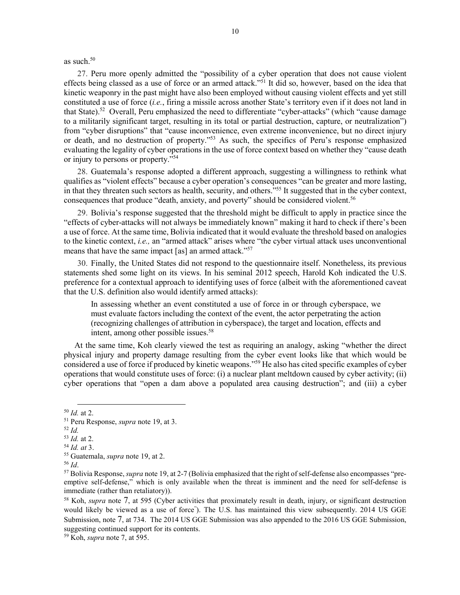as such.<sup>50</sup>

27. Peru more openly admitted the "possibility of a cyber operation that does not cause violent effects being classed as a use of force or an armed attack."51 It did so, however, based on the idea that kinetic weaponry in the past might have also been employed without causing violent effects and yet still constituted a use of force (*i.e.*, firing a missile across another State's territory even if it does not land in that State).<sup>52</sup> Overall, Peru emphasized the need to differentiate "cyber-attacks" (which "cause damage to a militarily significant target, resulting in its total or partial destruction, capture, or neutralization") from "cyber disruptions" that "cause inconvenience, even extreme inconvenience, but no direct injury or death, and no destruction of property."53 As such, the specifics of Peru's response emphasized evaluating the legality of cyber operations in the use of force context based on whether they "cause death or injury to persons or property."54

28. Guatemala's response adopted a different approach, suggesting a willingness to rethink what qualifies as "violent effects" because a cyber operation's consequences "can be greater and more lasting, in that they threaten such sectors as health, security, and others."55 It suggested that in the cyber context, consequences that produce "death, anxiety, and poverty" should be considered violent.<sup>56</sup>

29. Bolivia's response suggested that the threshold might be difficult to apply in practice since the "effects of cyber-attacks will not always be immediately known" making it hard to check if there's been a use of force. At the same time, Bolivia indicated that it would evaluate the threshold based on analogies to the kinetic context, *i.e.,* an "armed attack" arises where "the cyber virtual attack uses unconventional means that have the same impact [as] an armed attack."<sup>57</sup>

30. Finally, the United States did not respond to the questionnaire itself. Nonetheless, its previous statements shed some light on its views. In his seminal 2012 speech, Harold Koh indicated the U.S. preference for a contextual approach to identifying uses of force (albeit with the aforementioned caveat that the U.S. definition also would identify armed attacks):

In assessing whether an event constituted a use of force in or through cyberspace, we must evaluate factors including the context of the event, the actor perpetrating the action (recognizing challenges of attribution in cyberspace), the target and location, effects and intent, among other possible issues.<sup>58</sup>

At the same time, Koh clearly viewed the test as requiring an analogy, asking "whether the direct physical injury and property damage resulting from the cyber event looks like that which would be considered a use of force if produced by kinetic weapons."59 He also has cited specific examples of cyber operations that would constitute uses of force: (i) a nuclear plant meltdown caused by cyber activity; (ii) cyber operations that "open a dam above a populated area causing destruction"; and (iii) a cyber

 <sup>50</sup> *Id.* at 2.

<sup>51</sup> Peru Response, *supra* note [19,](#page-3-0) at 3.

 $\frac{52 \text{ } Id.}{53 \text{ } Id.}$  at 2.

<sup>&</sup>lt;sup>54</sup> *Id. at* 3.<br><sup>55</sup> Guatemala, *supra* note [19,](#page-3-0) at 2.<br><sup>56</sup> *Id.* 57 Bolivia Response, *supra* note [19,](#page-3-0) at 2-7 (Bolivia emphasized that the right of self-defense also encompasses "preemptive self-defense," which is only available when the threat is imminent and the need for self-defense is immediate (rather than retaliatory)).

<sup>58</sup> Koh, *supra* note [7,](#page-1-0) at 595 (Cyber activities that proximately result in death, injury, or significant destruction would likely be viewed as a use of force" ). The U.S. has maintained this view subsequently. 2014 US GGE Submission, note [7,](#page-1-0) at 734. The 2014 US GGE Submission was also appended to the 2016 US GGE Submission, suggesting continued support for its contents. 59 Koh, *supra* note [7,](#page-1-0) at 595.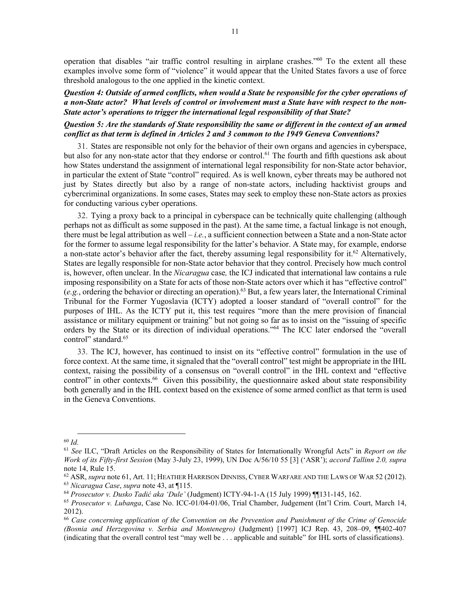operation that disables "air traffic control resulting in airplane crashes."60 To the extent all these examples involve some form of "violence" it would appear that the United States favors a use of force threshold analogous to the one applied in the kinetic context.

#### *Question 4: Outside of armed conflicts, when would a State be responsible for the cyber operations of a non-State actor? What levels of control or involvement must a State have with respect to the non-State actor's operations to trigger the international legal responsibility of that State?*

# *Question 5: Are the standards of State responsibility the same or different in the context of an armed conflict as that term is defined in Articles 2 and 3 common to the 1949 Geneva Conventions?*

<span id="page-10-0"></span>31. States are responsible not only for the behavior of their own organs and agencies in cyberspace, but also for any non-state actor that they endorse or control.<sup>61</sup> The fourth and fifth questions ask about how States understand the assignment of international legal responsibility for non-State actor behavior, in particular the extent of State "control" required. As is well known, cyber threats may be authored not just by States directly but also by a range of non-state actors, including hacktivist groups and cybercriminal organizations. In some cases, States may seek to employ these non-State actors as proxies for conducting various cyber operations.

32. Tying a proxy back to a principal in cyberspace can be technically quite challenging (although perhaps not as difficult as some supposed in the past). At the same time, a factual linkage is not enough, there must be legal attribution as well – *i.e.*, a sufficient connection between a State and a non-State actor for the former to assume legal responsibility for the latter's behavior. A State may, for example, endorse a non-state actor's behavior after the fact, thereby assuming legal responsibility for it.<sup>62</sup> Alternatively, States are legally responsible for non-State actor behavior that they control. Precisely how much control is, however, often unclear. In the *Nicaragua* case*,* the ICJ indicated that international law contains a rule imposing responsibility on a State for acts of those non-State actors over which it has "effective control" (*e.g.*, ordering the behavior or directing an operation).63 But, a few years later, the International Criminal Tribunal for the Former Yugoslavia (ICTY) adopted a looser standard of "overall control" for the purposes of IHL. As the ICTY put it, this test requires "more than the mere provision of financial assistance or military equipment or training" but not going so far as to insist on the "issuing of specific orders by the State or its direction of individual operations."64 The ICC later endorsed the "overall control" standard.<sup>65</sup>

33. The ICJ, however, has continued to insist on its "effective control" formulation in the use of force context. At the same time, it signaled that the "overall control" test might be appropriate in the IHL context, raising the possibility of a consensus on "overall control" in the IHL context and "effective control" in other contexts.<sup>66</sup> Given this possibility, the questionnaire asked about state responsibility both generally and in the IHL context based on the existence of some armed conflict as that term is used in the Geneva Conventions.

 <sup>60</sup> *Id.*

<sup>61</sup> *See* ILC, "Draft Articles on the Responsibility of States for Internationally Wrongful Acts" in *Report on the Work of its Fifty-first Session* (May 3-July 23, 1999), UN Doc A/56/10 55 [3] ('ASR'); *accord Tallinn 2.0, supra* 

note [14,](#page-2-0) Rule 15.<br><sup>62</sup> ASR, *supra* note 61, Art. 11; HEATHER HARRISON DINNISS, CYBER WARFARE AND THE LAWS OF WAR 52 (2012).<br><sup>63</sup> *Nicaragua Case, supra* note [43,](#page-8-1) at ¶115.<br><sup>64</sup> *Prosecutor v. Dusko Tadić aka 'Dule'* (Judgm

<sup>&</sup>lt;sup>65</sup> Prosecutor v. Lubanga, Case No. ICC-01/04-01/06, Trial Chamber, Judgement (Int'l Crim. Court, March 14, 2012).

<sup>66</sup> *Case concerning application of the Convention on the Prevention and Punishment of the Crime of Genocide (Bosnia and Herzegovina v. Serbia and Montenegro)* (Judgment) [1997] ICJ Rep. 43, 208–09, ¶¶402-407 (indicating that the overall control test "may well be . . . applicable and suitable" for IHL sorts of classifications).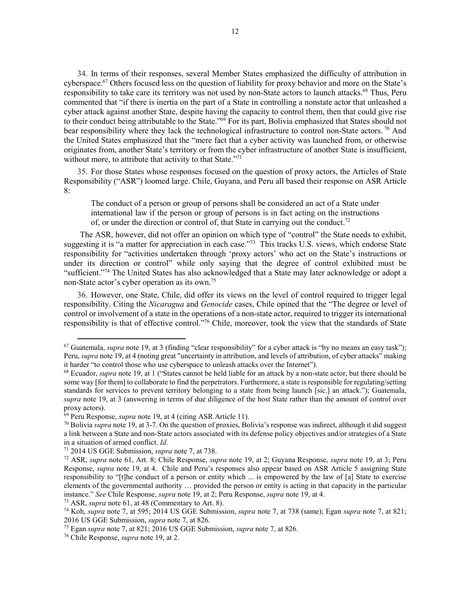34. In terms of their responses, several Member States emphasized the difficulty of attribution in cyberspace.<sup>67</sup> Others focused less on the question of liability for proxy behavior and more on the State's responsibility to take care its territory was not used by non-State actors to launch attacks.<sup>68</sup> Thus, Peru commented that "if there is inertia on the part of a State in controlling a nonstate actor that unleashed a cyber attack against another State, despite having the capacity to control them, then that could give rise to their conduct being attributable to the State."<sup>69</sup> For its part, Bolivia emphasized that States should not bear responsibility where they lack the technological infrastructure to control non-State actors.<sup>70</sup> And the United States emphasized that the "mere fact that a cyber activity was launched from, or otherwise originates from, another State's territory or from the cyber infrastructure of another State is insufficient, without more, to attribute that activity to that State."<sup>71</sup>

35. For those States whose responses focused on the question of proxy actors, the Articles of State Responsibility ("ASR") loomed large. Chile, Guyana, and Peru all based their response on ASR Article 8:

The conduct of a person or group of persons shall be considered an act of a State under international law if the person or group of persons is in fact acting on the instructions of, or under the direction or control of, that State in carrying out the conduct.<sup>72</sup>

The ASR, however, did not offer an opinion on which type of "control" the State needs to exhibit, suggesting it is "a matter for appreciation in each case."<sup>73</sup> This tracks U.S. views, which endorse State responsibility for "activities undertaken through 'proxy actors' who act on the State's instructions or under its direction or control" while only saying that the degree of control exhibited must be "sufficient."<sup>74</sup> The United States has also acknowledged that a State may later acknowledge or adopt a non-State actor's cyber operation as its own.75

36. However, one State, Chile, did offer its views on the level of control required to trigger legal responsibility. Citing the *Nicaragua* and *Genocide* cases, Chile opined that the "The degree or level of control or involvement of a state in the operations of a non-state actor, required to trigger its international responsibility is that of effective control."76 Chile, moreover, took the view that the standards of State

<sup>&</sup>lt;sup>67</sup> Guatemala, *supra* not[e 19,](#page-3-0) at 3 (finding "clear responsibility" for a cyber attack is "by no means an easy task"); Peru, *supra* not[e 19,](#page-3-0) at 4 (noting great "uncertainty in attribution, and levels of attribution, of cyber attacks" making it harder "to control those who use cyberspace to unleash attacks over the Internet").

<sup>68</sup> Ecuador, *supra* note [19,](#page-3-0) at 1 ("States cannot be held liable for an attack by a non-state actor, but there should be some way [for them] to collaborate to find the perpetrators. Furthermore, a state is responsible for regulating/setting standards for services to prevent territory belonging to a state from being launch [sic.] an attack."); Guatemala, *supra* note [19,](#page-3-0) at 3 (answering in terms of due diligence of the host State rather than the amount of control over proxy actors).

<sup>69</sup> Peru Response, *supra* note [19,](#page-3-0) at 4 (citing ASR Article 11).

<sup>70</sup> Bolivia *supra* note [19,](#page-3-0) at 3-7. On the question of proxies, Bolivia's response was indirect, although it did suggest a link between a State and non-State actors associated with its defense policy objectives and/or strategies of a State in a situation of armed conflict. *Id*.

<sup>71</sup> 2014 US GGE Submission, *supra* not[e 7,](#page-1-0) at 738.

<sup>72</sup> ASR, *supra* note [61,](#page-10-0) Art. 8; Chile Response, *supra* note [19,](#page-3-0) at 2; Guyana Response, *supra* note [19,](#page-3-0) at 3; Peru Response, *supra* note [19,](#page-3-0) at 4. Chile and Peru's responses also appear based on ASR Article 5 assigning State responsibility to "[t]he conduct of a person or entity which ... is empowered by the law of [a] State to exercise elements of the governmental authority … provided the person or entity is acting in that capacity in the particular instance." *See* Chile Response, *supra* note 19, at 2; Peru Response, *supra* note [19,](#page-3-0) at 4. 73 ASR, *supra* note [61,](#page-10-0) at 48 (Commentary to Art. 8).

<sup>74</sup> Koh, *supra* note [7,](#page-1-0) at 595; 2014 US GGE Submission, *supra* note [7,](#page-1-0) at 738 (same); Egan *supra* note [7,](#page-1-0) at 821; 2016 US GGE Submission, *supra* not[e 7,](#page-1-0) at 826.

<sup>75</sup> Egan *supra* note [7,](#page-1-0) at 821; 2016 US GGE Submission, *supra* not[e 7,](#page-1-0) at 826.

<sup>76</sup> Chile Response, *supra* note [19,](#page-3-0) at 2.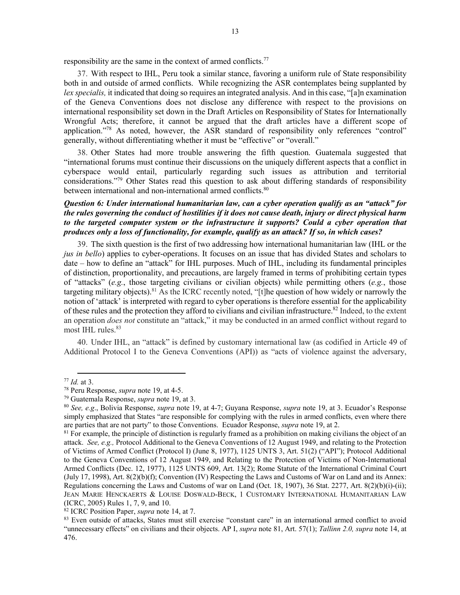responsibility are the same in the context of armed conflicts.77

37. With respect to IHL, Peru took a similar stance, favoring a uniform rule of State responsibility both in and outside of armed conflicts. While recognizing the ASR contemplates being supplanted by *lex specialis,* it indicated that doing so requires an integrated analysis. And in this case, "[a]n examination of the Geneva Conventions does not disclose any difference with respect to the provisions on international responsibility set down in the Draft Articles on Responsibility of States for Internationally Wrongful Acts; therefore, it cannot be argued that the draft articles have a different scope of application."78 As noted, however, the ASR standard of responsibility only references "control" generally, without differentiating whether it must be "effective" or "overall."

38. Other States had more trouble answering the fifth question. Guatemala suggested that "international forums must continue their discussions on the uniquely different aspects that a conflict in cyberspace would entail, particularly regarding such issues as attribution and territorial considerations."<sup>79</sup> Other States read this question to ask about differing standards of responsibility between international and non-international armed conflicts.<sup>80</sup>

# *Question 6: Under international humanitarian law, can a cyber operation qualify as an "attack" for the rules governing the conduct of hostilities if it does not cause death, injury or direct physical harm to the targeted computer system or the infrastructure it supports? Could a cyber operation that produces only a loss of functionality, for example, qualify as an attack? If so, in which cases?*

<span id="page-12-0"></span>39. The sixth question is the first of two addressing how international humanitarian law (IHL or the *jus in bello*) applies to cyber-operations. It focuses on an issue that has divided States and scholars to date – how to define an "attack" for IHL purposes. Much of IHL, including its fundamental principles of distinction, proportionality, and precautions, are largely framed in terms of prohibiting certain types of "attacks" (*e.g.*, those targeting civilians or civilian objects) while permitting others (*e.g.*, those targeting military objects).81 As the ICRC recently noted, "[t]he question of how widely or narrowly the notion of 'attack' is interpreted with regard to cyber operations is therefore essential for the applicability of these rules and the protection they afford to civilians and civilian infrastructure.<sup>82</sup> Indeed, to the extent an operation *does not* constitute an "attack," it may be conducted in an armed conflict without regard to most IHL rules. 83

40. Under IHL, an "attack" is defined by customary international law (as codified in Article 49 of Additional Protocol I to the Geneva Conventions (API)) as "acts of violence against the adversary,

<sup>77</sup> *Id.* at 3. 78 Peru Response, *supra* note [19,](#page-3-0) at 4-5.

<sup>79</sup> Guatemala Response, *supra* note [19,](#page-3-0) at 3.

<sup>80</sup> *See, e.g*., Bolivia Response, *supra* note [19,](#page-3-0) at 4-7; Guyana Response, *supra* note [19,](#page-3-0) at 3. Ecuador's Response simply emphasized that States "are responsible for complying with the rules in armed conflicts, even where there are parties that are not party" to those Conventions. Ecuador Response, *supra* note [19,](#page-3-0) at 2.

 $81$  For example, the principle of distinction is regularly framed as a prohibition on making civilians the object of an attack. *See, e.g.,* Protocol Additional to the Geneva Conventions of 12 August 1949, and relating to the Protection of Victims of Armed Conflict (Protocol I) (June 8, 1977), 1125 UNTS 3, Art. 51(2) ("API"); Protocol Additional to the Geneva Conventions of 12 August 1949, and Relating to the Protection of Victims of Non-International Armed Conflicts (Dec. 12, 1977), 1125 UNTS 609, Art. 13(2); Rome Statute of the International Criminal Court (July 17, 1998), Art. 8(2)(b)(f); Convention (IV) Respecting the Laws and Customs of War on Land and its Annex: Regulations concerning the Laws and Customs of war on Land (Oct. 18, 1907), 36 Stat. 2277, Art. 8(2)(b)(i)-(ii); JEAN MARIE HENCKAERTS & LOUISE DOSWALD-BECK, 1 CUSTOMARY INTERNATIONAL HUMANITARIAN LAW (ICRC, 2005) Rules 1, 7, 9, and 10.

<sup>82</sup> ICRC Position Paper, *supra* note [14,](#page-2-0) at 7.

<sup>&</sup>lt;sup>83</sup> Even outside of attacks, States must still exercise "constant care" in an international armed conflict to avoid "unnecessary effects" on civilians and their objects. AP I, *supra* note [81,](#page-12-0) Art. 57(1); *Tallinn 2.0, supra* note [14,](#page-2-0) at 476.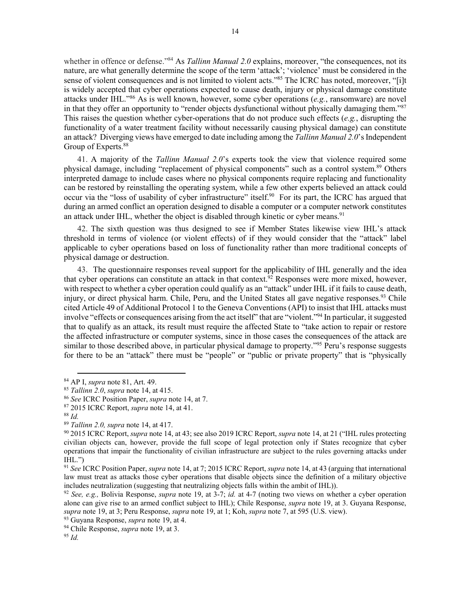whether in offence or defense."84 As *Tallinn Manual 2.0* explains, moreover, "the consequences, not its nature, are what generally determine the scope of the term 'attack'; 'violence' must be considered in the sense of violent consequences and is not limited to violent acts."<sup>85</sup> The ICRC has noted, moreover, "[i]t is widely accepted that cyber operations expected to cause death, injury or physical damage constitute attacks under IHL."86 As is well known, however, some cyber operations (*e.g.*, ransomware) are novel in that they offer an opportunity to "render objects dysfunctional without physically damaging them."<sup>87</sup> This raises the question whether cyber-operations that do not produce such effects (*e.g.*, disrupting the functionality of a water treatment facility without necessarily causing physical damage) can constitute an attack? Diverging views have emerged to date including among the *Tallinn Manual 2.0*'s Independent Group of Experts.<sup>88</sup>

41. A majority of the *Tallinn Manual 2.0*'s experts took the view that violence required some physical damage, including "replacement of physical components" such as a control system.89 Others interpreted damage to include cases where no physical components require replacing and functionality can be restored by reinstalling the operating system, while a few other experts believed an attack could occur via the "loss of usability of cyber infrastructure" itself.<sup>90</sup> For its part, the ICRC has argued that during an armed conflict an operation designed to disable a computer or a computer network constitutes an attack under IHL, whether the object is disabled through kinetic or cyber means.<sup>91</sup>

42. The sixth question was thus designed to see if Member States likewise view IHL's attack threshold in terms of violence (or violent effects) of if they would consider that the "attack" label applicable to cyber operations based on loss of functionality rather than more traditional concepts of physical damage or destruction.

43. The questionnaire responses reveal support for the applicability of IHL generally and the idea that cyber operations can constitute an attack in that context.<sup>92</sup> Responses were more mixed, however, with respect to whether a cyber operation could qualify as an "attack" under IHL if it fails to cause death, injury, or direct physical harm. Chile, Peru, and the United States all gave negative responses.<sup>93</sup> Chile cited Article 49 of Additional Protocol 1 to the Geneva Conventions (API) to insist that IHL attacks must involve "effects or consequences arising from the act itself" that are "violent."94 In particular, it suggested that to qualify as an attack, its result must require the affected State to "take action to repair or restore the affected infrastructure or computer systems, since in those cases the consequences of the attack are similar to those described above, in particular physical damage to property."<sup>95</sup> Peru's response suggests for there to be an "attack" there must be "people" or "public or private property" that is "physically

<sup>84</sup> AP I, *supra* not[e 81,](#page-12-0) Art. 49. 85 *Tallinn 2.0*, *supra* note [14,](#page-2-0) at 415.

<sup>86</sup> *See* ICRC Position Paper, *supra* note [14,](#page-2-0) at 7.

<sup>87</sup> 2015 ICRC Report, *supra* not[e 14,](#page-2-0) at 41.

<sup>88</sup> *Id.*

<sup>89</sup> *Tallinn 2.0, supra* note [14,](#page-2-0) at 417.

<sup>90</sup> 2015 ICRC Report, *supra* note [14,](#page-2-0) at 43; see also 2019 ICRC Report, *supra* not[e 14,](#page-2-0) at 21 ("IHL rules protecting civilian objects can, however, provide the full scope of legal protection only if States recognize that cyber operations that impair the functionality of civilian infrastructure are subject to the rules governing attacks under  $IHL."$ 

<sup>91</sup> *See* ICRC Position Paper, *supra* not[e 14,](#page-2-0) at 7; 2015 ICRC Report, *supra* note [14,](#page-2-0) at 43 (arguing that international law must treat as attacks those cyber operations that disable objects since the definition of a military objective includes neutralization (suggesting that neutralizing objects falls within the ambit of IHL)).

<sup>92</sup> *See, e.g.,* Bolivia Response, *supra* note [19,](#page-3-0) at 3-7; *id.* at 4-7 (noting two views on whether a cyber operation alone can give rise to an armed conflict subject to IHL); Chile Response, *supra* note [19,](#page-3-0) at 3. Guyana Response, *supra* note [19,](#page-3-0) at 3; Peru Response, *supra* note [19,](#page-3-0) at 1; Koh, *supra* note [7,](#page-1-0) at 595 (U.S. view).

<sup>93</sup> Guyana Response, *supra* note [19,](#page-3-0) at 4.

<sup>94</sup> Chile Response, *supra* note [19,](#page-3-0) at 3.

<sup>95</sup> *Id.*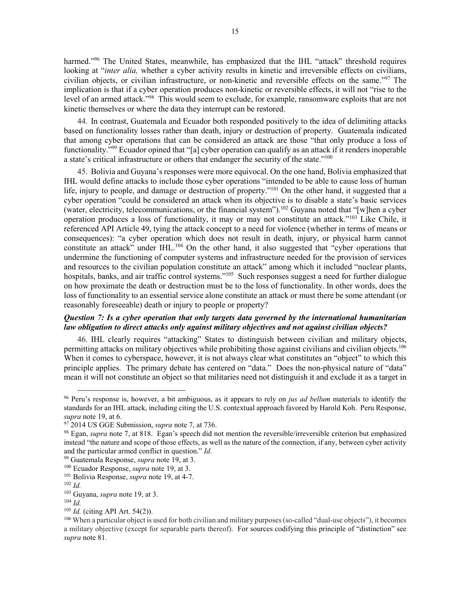harmed."<sup>96</sup> The United States, meanwhile, has emphasized that the IHL "attack" threshold requires looking at "*inter alia*, whether a cyber activity results in kinetic and irreversible effects on civilians, civilian objects, or civilian infrastructure, or non-kinetic and reversible effects on the same."97 The implication is that if a cyber operation produces non-kinetic or reversible effects, it will not "rise to the level of an armed attack."98 This would seem to exclude, for example, ransomware exploits that are not kinetic themselves or where the data they interrupt can be restored.

44. In contrast, Guatemala and Ecuador both responded positively to the idea of delimiting attacks based on functionality losses rather than death, injury or destruction of property. Guatemala indicated that among cyber operations that can be considered an attack are those "that only produce a loss of functionality."99 Ecuador opined that "[a] cyber operation can qualify as an attack if it renders inoperable a state's critical infrastructure or others that endanger the security of the state."<sup>100</sup>

45. Bolivia and Guyana's responses were more equivocal. On the one hand, Bolivia emphasized that IHL would define attacks to include those cyber operations "intended to be able to cause loss of human life, injury to people, and damage or destruction of property."<sup>101</sup> On the other hand, it suggested that a cyber operation "could be considered an attack when its objective is to disable a state's basic services (water, electricity, telecommunications, or the financial system").<sup>102</sup> Guyana noted that "[w]hen a cyber operation produces a loss of functionality, it may or may not constitute an attack."103 Like Chile, it referenced API Article 49, tying the attack concept to a need for violence (whether in terms of means or consequences): "a cyber operation which does not result in death, injury, or physical harm cannot constitute an attack" under IHL.<sup>104</sup> On the other hand, it also suggested that "cyber operations that undermine the functioning of computer systems and infrastructure needed for the provision of services and resources to the civilian population constitute an attack" among which it included "nuclear plants, hospitals, banks, and air traffic control systems."<sup>105</sup> Such responses suggest a need for further dialogue on how proximate the death or destruction must be to the loss of functionality. In other words, does the loss of functionality to an essential service alone constitute an attack or must there be some attendant (or reasonably foreseeable) death or injury to people or property?

#### *Question 7: Is a cyber operation that only targets data governed by the international humanitarian law obligation to direct attacks only against military objectives and not against civilian objects?*

46. IHL clearly requires "attacking" States to distinguish between civilian and military objects, permitting attacks on military objectives while prohibiting those against civilians and civilian objects.106 When it comes to cyberspace, however, it is not always clear what constitutes an "object" to which this principle applies. The primary debate has centered on "data." Does the non-physical nature of "data" mean it will not constitute an object so that militaries need not distinguish it and exclude it as a target in

 <sup>96</sup> Peru's response is, however, a bit ambiguous, as it appears to rely on *jus ad bellum* materials to identify the standards for an IHL attack, including citing the U.S. contextual approach favored by Harold Koh. Peru Response, *supra* note [19,](#page-3-0) at 6.

<sup>97</sup> 2014 US GGE Submission, *supra* not[e 7,](#page-1-0) at 736.

<sup>98</sup> Egan, *supra* note [7,](#page-1-0) at 818. Egan's speech did not mention the reversible/irreversible criterion but emphasized instead "the nature and scope of those effects, as well as the nature of the connection, if any, between cyber activity and the particular armed conflict in question." *Id.*

<sup>99</sup> Guatemala Response, *supra* note [19,](#page-3-0) at 3.

<sup>100</sup> Ecuador Response, *supra* note [19,](#page-3-0) at 3. <sup>101</sup> Bolivia Response, *supra* not[e 19,](#page-3-0) at 4-7.

<sup>102</sup> *Id.* 

<sup>&</sup>lt;sup>103</sup> Guyana, *supra* note [19,](#page-3-0) at 3.<br><sup>104</sup> *Id.* (citing API Art. 54(2)).

<sup>&</sup>lt;sup>106</sup> When a particular object is used for both civilian and military purposes (so-called "dual-use objects"), it becomes a military objective (except for separable parts thereof). For sources codifying this principle of "distinction" see *supra* note [81.](#page-12-0)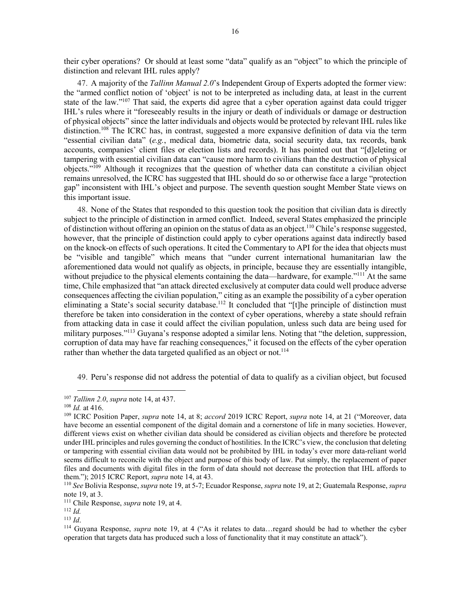their cyber operations? Or should at least some "data" qualify as an "object" to which the principle of distinction and relevant IHL rules apply?

47. A majority of the *Tallinn Manual 2.0*'s Independent Group of Experts adopted the former view: the "armed conflict notion of 'object' is not to be interpreted as including data, at least in the current state of the law."107 That said, the experts did agree that a cyber operation against data could trigger IHL's rules where it "foreseeably results in the injury or death of individuals or damage or destruction of physical objects" since the latter individuals and objects would be protected by relevant IHL rules like distinction.<sup>108</sup> The ICRC has, in contrast, suggested a more expansive definition of data via the term "essential civilian data" (*e.g.*, medical data, biometric data, social security data, tax records, bank accounts, companies' client files or election lists and records). It has pointed out that "[d]eleting or tampering with essential civilian data can "cause more harm to civilians than the destruction of physical objects."109 Although it recognizes that the question of whether data can constitute a civilian object remains unresolved, the ICRC has suggested that IHL should do so or otherwise face a large "protection gap" inconsistent with IHL's object and purpose. The seventh question sought Member State views on this important issue.

48. None of the States that responded to this question took the position that civilian data is directly subject to the principle of distinction in armed conflict. Indeed, several States emphasized the principle of distinction without offering an opinion on the status of data as an object.<sup>110</sup> Chile's response suggested, however, that the principle of distinction could apply to cyber operations against data indirectly based on the knock-on effects of such operations. It cited the Commentary to API for the idea that objects must be "visible and tangible" which means that "under current international humanitarian law the aforementioned data would not qualify as objects, in principle, because they are essentially intangible, without prejudice to the physical elements containing the data—hardware, for example."<sup>111</sup> At the same time, Chile emphasized that "an attack directed exclusively at computer data could well produce adverse consequences affecting the civilian population," citing as an example the possibility of a cyber operation eliminating a State's social security database.<sup>112</sup> It concluded that "[t]he principle of distinction must therefore be taken into consideration in the context of cyber operations, whereby a state should refrain from attacking data in case it could affect the civilian population, unless such data are being used for military purposes."113 Guyana's response adopted a similar lens. Noting that "the deletion, suppression, corruption of data may have far reaching consequences," it focused on the effects of the cyber operation rather than whether the data targeted qualified as an object or not.<sup>114</sup>

49. Peru's response did not address the potential of data to qualify as a civilian object, but focused

<sup>&</sup>lt;sup>107</sup> *Tallinn 2.0*, *supra* note [14,](#page-2-0) at 437.<br><sup>108</sup> *Id.* at 416.<br><sup>109</sup> ICRC Position Paper, *supra* note [14,](#page-2-0) at 8; *accord* 2019 ICRC Report, *supra* note 14, at 21 ("Moreover, data have become an essential component of the digital domain and a cornerstone of life in many societies. However, different views exist on whether civilian data should be considered as civilian objects and therefore be protected under IHL principles and rules governing the conduct of hostilities. In the ICRC's view, the conclusion that deleting or tampering with essential civilian data would not be prohibited by IHL in today's ever more data-reliant world seems difficult to reconcile with the object and purpose of this body of law. Put simply, the replacement of paper files and documents with digital files in the form of data should not decrease the protection that IHL affords to them."); 2015 ICRC Report, *supra* note [14,](#page-2-0) at 43.

<sup>110</sup> *See* Bolivia Response, *supra* not[e 19,](#page-3-0) at 5-7; Ecuador Response, *supra* not[e 19,](#page-3-0) at 2; Guatemala Response, *supra*  note [19,](#page-3-0) at 3. 111 Chile Response, *supra* note [19,](#page-3-0) at 4. 112 *Id.* 

<sup>113</sup> *Id*.

<sup>114</sup> Guyana Response, *supra* note [19,](#page-3-0) at 4 ("As it relates to data…regard should be had to whether the cyber operation that targets data has produced such a loss of functionality that it may constitute an attack").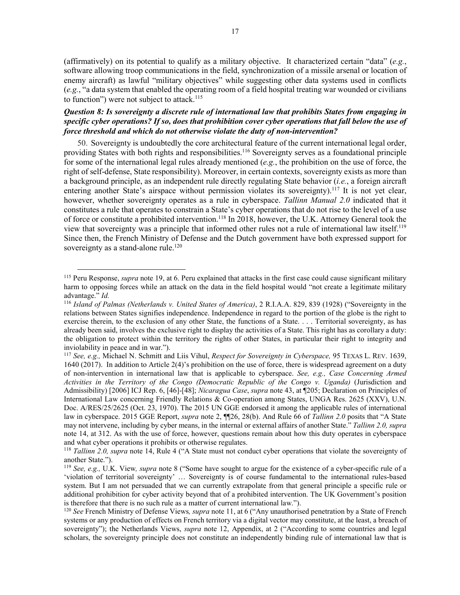(affirmatively) on its potential to qualify as a military objective. It characterized certain "data" (*e.g.*, software allowing troop communications in the field, synchronization of a missile arsenal or location of enemy aircraft) as lawful "military objectives" while suggesting other data systems used in conflicts (*e.g.*, "a data system that enabled the operating room of a field hospital treating war wounded or civilians to function") were not subject to attack.<sup>115</sup>

# *Question 8: Is sovereignty a discrete rule of international law that prohibits States from engaging in specific cyber operations? If so, does that prohibition cover cyber operations that fall below the use of force threshold and which do not otherwise violate the duty of non-intervention?*

<span id="page-16-0"></span>50. Sovereignty is undoubtedly the core architectural feature of the current international legal order, providing States with both rights and responsibilities.<sup>116</sup> Sovereignty serves as a foundational principle for some of the international legal rules already mentioned (*e.g.*, the prohibition on the use of force, the right of self-defense, State responsibility). Moreover, in certain contexts, sovereignty exists as more than a background principle, as an independent rule directly regulating State behavior (*i.e.*, a foreign aircraft entering another State's airspace without permission violates its sovereignty).<sup>117</sup> It is not yet clear, however, whether sovereignty operates as a rule in cyberspace. *Tallinn Manual 2.0* indicated that it constitutes a rule that operates to constrain a State's cyber operations that do not rise to the level of a use of force or constitute a prohibited intervention.<sup>118</sup> In 2018, however, the U.K. Attorney General took the view that sovereignty was a principle that informed other rules not a rule of international law itself.119 Since then, the French Ministry of Defense and the Dutch government have both expressed support for sovereignty as a stand-alone rule.<sup>120</sup>

 <sup>115</sup> Peru Response, *supra* note [19,](#page-3-0) at 6. Peru explained that attacks in the first case could cause significant military harm to opposing forces while an attack on the data in the field hospital would "not create a legitimate military advantage." *Id.*

<sup>116</sup> *Island of Palmas (Netherlands v. United States of America)*, 2 R.I.A.A. 829, 839 (1928) ("Sovereignty in the relations between States signifies independence. Independence in regard to the portion of the globe is the right to exercise therein, to the exclusion of any other State, the functions of a State. . . . Territorial sovereignty, as has already been said, involves the exclusive right to display the activities of a State. This right has as corollary a duty: the obligation to protect within the territory the rights of other States, in particular their right to integrity and inviolability in peace and in war.").

<sup>117</sup> *See, e.g.,* Michael N. Schmitt and Liis Vihul, *Respect for Sovereignty in Cyberspace,* 95 TEXAS L. REV. 1639, 1640 (2017). In addition to Article 2(4)'s prohibition on the use of force, there is widespread agreement on a duty of non-intervention in international law that is applicable to cyberspace. *See, e.g., Case Concerning Armed Activities in the Territory of the Congo (Democratic Republic of the Congo v. Uganda)* (Jurisdiction and Admissibility) [2006] ICJ Rep. 6, [46]-[48]; *Nicaragua Case*, *supra* note [43,](#page-8-1) at ¶205; Declaration on Principles of International Law concerning Friendly Relations & Co-operation among States, UNGA Res. 2625 (XXV), U.N. Doc. A/RES/25/2625 (Oct. 23, 1970). The 2015 UN GGE endorsed it among the applicable rules of international law in cyberspace. 2015 GGE Report, *supra* note [2,](#page-0-1) ¶¶26, 28(b). And Rule 66 of *Tallinn 2.0* posits that "A State may not intervene, including by cyber means, in the internal or external affairs of another State." *Tallinn 2.0, supra*  note [14,](#page-2-0) at 312. As with the use of force, however, questions remain about how this duty operates in cyberspace and what cyber operations it prohibits or otherwise regulates.

<sup>118</sup> *Tallinn 2.0, supra* note [14,](#page-2-0) Rule 4 ("A State must not conduct cyber operations that violate the sovereignty of another State.").

<sup>119</sup> *See, e.g.,* U.K. View*, supra* note [8](#page-1-2) ("Some have sought to argue for the existence of a cyber-specific rule of a 'violation of territorial sovereignty' … Sovereignty is of course fundamental to the international rules-based system. But I am not persuaded that we can currently extrapolate from that general principle a specific rule or additional prohibition for cyber activity beyond that of a prohibited intervention. The UK Government's position is therefore that there is no such rule as a matter of current international law."). 120 *See* French Ministry of Defense Views*, supra* note [11,](#page-2-1) at 6 ("Any unauthorised penetration by a State of French

systems or any production of effects on French territory via a digital vector may constitute, at the least, a breach of sovereignty"); the Netherlands Views, *supra* note [12,](#page-2-2) Appendix, at 2 ("According to some countries and legal scholars, the sovereignty principle does not constitute an independently binding rule of international law that is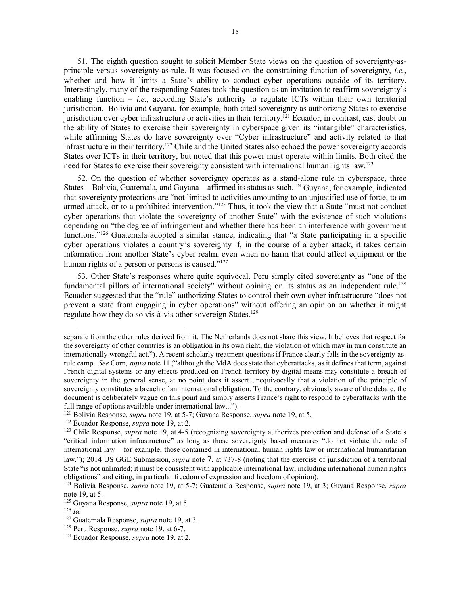51. The eighth question sought to solicit Member State views on the question of sovereignty-asprinciple versus sovereignty-as-rule. It was focused on the constraining function of sovereignty, *i.e.*, whether and how it limits a State's ability to conduct cyber operations outside of its territory. Interestingly, many of the responding States took the question as an invitation to reaffirm sovereignty's enabling function – *i.e.*, according State's authority to regulate ICTs within their own territorial jurisdiction. Bolivia and Guyana, for example, both cited sovereignty as authorizing States to exercise jurisdiction over cyber infrastructure or activities in their territory.<sup>121</sup> Ecuador, in contrast, cast doubt on the ability of States to exercise their sovereignty in cyberspace given its "intangible" characteristics, while affirming States do have sovereignty over "Cyber infrastructure" and activity related to that infrastructure in their territory.122 Chile and the United States also echoed the power sovereignty accords States over ICTs in their territory, but noted that this power must operate within limits. Both cited the need for States to exercise their sovereignty consistent with international human rights law.123

52. On the question of whether sovereignty operates as a stand-alone rule in cyberspace, three States—Bolivia, Guatemala, and Guyana—affirmed its status as such.<sup>124</sup> Guyana, for example, indicated that sovereignty protections are "not limited to activities amounting to an unjustified use of force, to an armed attack, or to a prohibited intervention."125 Thus, it took the view that a State "must not conduct cyber operations that violate the sovereignty of another State" with the existence of such violations depending on "the degree of infringement and whether there has been an interference with government functions."<sup>126</sup> Guatemala adopted a similar stance, indicating that "a State participating in a specific cyber operations violates a country's sovereignty if, in the course of a cyber attack, it takes certain information from another State's cyber realm, even when no harm that could affect equipment or the human rights of a person or persons is caused."<sup>127</sup>

53. Other State's responses where quite equivocal. Peru simply cited sovereignty as "one of the fundamental pillars of international society" without opining on its status as an independent rule.<sup>128</sup> Ecuador suggested that the "rule" authorizing States to control their own cyber infrastructure "does not prevent a state from engaging in cyber operations" without offering an opinion on whether it might regulate how they do so vis-à-vis other sovereign States.129

<u>.</u>

separate from the other rules derived from it. The Netherlands does not share this view. It believes that respect for the sovereignty of other countries is an obligation in its own right, the violation of which may in turn constitute an internationally wrongful act."). A recent scholarly treatment questions if France clearly falls in the sovereignty-asrule camp. *See* Corn, *supra* note [11](#page-2-1) ("although the MdA does state that cyberattacks, as it defines that term, against French digital systems or any effects produced on French territory by digital means may constitute a breach of sovereignty in the general sense, at no point does it assert unequivocally that a violation of the principle of sovereignty constitutes a breach of an international obligation. To the contrary, obviously aware of the debate, the document is deliberately vague on this point and simply asserts France's right to respond to cyberattacks with the full range of options available under international law...").

<sup>121</sup> Bolivia Response, *supra* not[e 19,](#page-3-0) at 5-7; Guyana Response, *supra* note [19,](#page-3-0) at 5.

<sup>&</sup>lt;sup>123</sup> Chile Response, *supra* note [19,](#page-3-0) at 4-5 (recognizing sovereignty authorizes protection and defense of a State's "critical information infrastructure" as long as those sovereignty based measures "do not violate the rule of international law – for example, those contained in international human rights law or international humanitarian law."); 2014 US GGE Submission, *supra* note [7,](#page-1-0) at 737-8 (noting that the exercise of jurisdiction of a territorial State "is not unlimited; it must be consistent with applicable international law, including international human rights obligations" and citing, in particular freedom of expression and freedom of opinion).

<sup>124</sup> Bolivia Response, *supra* note [19,](#page-3-0) at 5-7; Guatemala Response, *supra* note [19,](#page-3-0) at 3; Guyana Response, *supra*  note [19,](#page-3-0) at 5.

<sup>125</sup> Guyana Response, *supra* note [19,](#page-3-0) at 5.

<sup>126</sup> *Id.*

<sup>127</sup> Guatemala Response, *supra* note [19,](#page-3-0) at 3.

<sup>128</sup> Peru Response, *supra* note [19,](#page-3-0) at 6-7.

<sup>129</sup> Ecuador Response, *supra* note [19,](#page-3-0) at 2.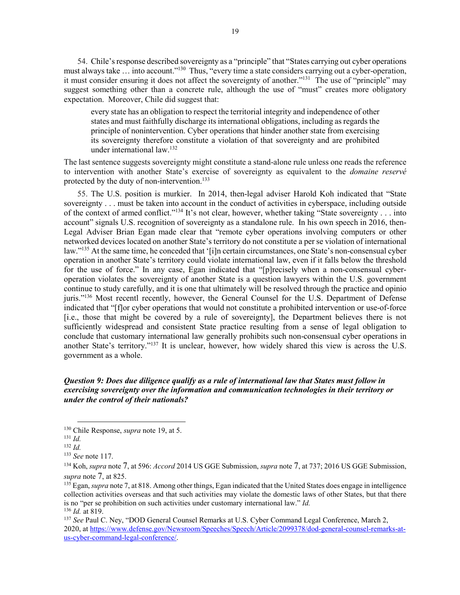54. Chile's response described sovereignty as a "principle" that "States carrying out cyber operations must always take … into account."130 Thus, "every time a state considers carrying out a cyber-operation, it must consider ensuring it does not affect the sovereignty of another."<sup>131</sup> The use of "principle" may suggest something other than a concrete rule, although the use of "must" creates more obligatory expectation. Moreover, Chile did suggest that:

every state has an obligation to respect the territorial integrity and independence of other states and must faithfully discharge its international obligations, including as regards the principle of nonintervention. Cyber operations that hinder another state from exercising its sovereignty therefore constitute a violation of that sovereignty and are prohibited under international law.132

The last sentence suggests sovereignty might constitute a stand-alone rule unless one reads the reference to intervention with another State's exercise of sovereignty as equivalent to the *domaine reservé* protected by the duty of non-intervention.<sup>133</sup>

55. The U.S. position is murkier. In 2014, then-legal adviser Harold Koh indicated that "State sovereignty . . . must be taken into account in the conduct of activities in cyberspace, including outside of the context of armed conflict."134 It's not clear, however, whether taking "State sovereignty . . . into account" signals U.S. recognition of sovereignty as a standalone rule. In his own speech in 2016, then-Legal Adviser Brian Egan made clear that "remote cyber operations involving computers or other networked devices located on another State's territory do not constitute a per se violation of international law."135 At the same time, he conceded that '[i]n certain circumstances, one State's non-consensual cyber operation in another State's territory could violate international law, even if it falls below the threshold for the use of force." In any case, Egan indicated that "[p]recisely when a non-consensual cyberoperation violates the sovereignty of another State is a question lawyers within the U.S. government continue to study carefully, and it is one that ultimately will be resolved through the practice and opinio juris."136 Most recentl recently, however, the General Counsel for the U.S. Department of Defense indicated that "[f]or cyber operations that would not constitute a prohibited intervention or use-of-force [i.e., those that might be covered by a rule of sovereignty], the Department believes there is not sufficiently widespread and consistent State practice resulting from a sense of legal obligation to conclude that customary international law generally prohibits such non-consensual cyber operations in another State's territory."137 It is unclear, however, how widely shared this view is across the U.S. government as a whole.

### *Question 9: Does due diligence qualify as a rule of international law that States must follow in exercising sovereignty over the information and communication technologies in their territory or under the control of their nationals?*

 <sup>130</sup> Chile Response, *supra* note [19,](#page-3-0) at 5.

<sup>131</sup> *Id.*

<sup>132</sup> *Id.* 

<sup>133</sup> *See* note [117.](#page-16-0)

<sup>134</sup> Koh, *supra* not[e 7,](#page-1-0) at 596: *Accord* 2014 US GGE Submission, *supra* not[e 7,](#page-1-0) at 737; 2016 US GGE Submission, *supra* note [7,](#page-1-0) at 825.

<sup>135</sup> Egan, *supra* not[e 7,](#page-1-0) at 818. Among other things, Egan indicated that the United States does engage in intelligence collection activities overseas and that such activities may violate the domestic laws of other States, but that there is no "per se prohibition on such activities under customary international law." *Id.* 

<sup>&</sup>lt;sup>137</sup> See Paul C. Ney, "DOD General Counsel Remarks at U.S. Cyber Command Legal Conference, March 2, 2020, at [https://www.defense.gov/Newsroom/Speeches/Speech/Article/2099378/dod-general-counsel-remarks-at](https://www.defense.gov/Newsroom/Speeches/Speech/Article/2099378/dod-general-counsel-remarks-at-us-cyber-command-legal-conference/)[us-cyber-command-legal-conference/.](https://www.defense.gov/Newsroom/Speeches/Speech/Article/2099378/dod-general-counsel-remarks-at-us-cyber-command-legal-conference/)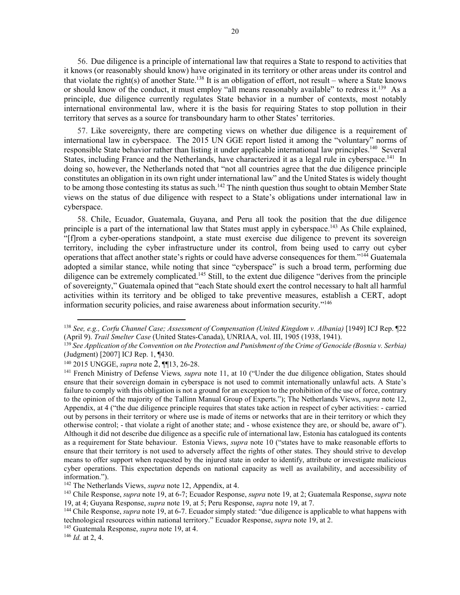56. Due diligence is a principle of international law that requires a State to respond to activities that it knows (or reasonably should know) have originated in its territory or other areas under its control and that violate the right(s) of another State.<sup>138</sup> It is an obligation of effort, not result – where a State knows or should know of the conduct, it must employ "all means reasonably available" to redress it.<sup>139</sup> As a principle, due diligence currently regulates State behavior in a number of contexts, most notably international environmental law, where it is the basis for requiring States to stop pollution in their territory that serves as a source for transboundary harm to other States' territories.

57. Like sovereignty, there are competing views on whether due diligence is a requirement of international law in cyberspace. The 2015 UN GGE report listed it among the "voluntary" norms of responsible State behavior rather than listing it under applicable international law principles.140 Several States, including France and the Netherlands, have characterized it as a legal rule in cyberspace.<sup>141</sup> In doing so, however, the Netherlands noted that "not all countries agree that the due diligence principle constitutes an obligation in its own right under international law" and the United States is widely thought to be among those contesting its status as such.<sup>142</sup> The ninth question thus sought to obtain Member State views on the status of due diligence with respect to a State's obligations under international law in cyberspace.

58. Chile, Ecuador, Guatemala, Guyana, and Peru all took the position that the due diligence principle is a part of the international law that States must apply in cyberspace.<sup>143</sup> As Chile explained, "[f]rom a cyber-operations standpoint, a state must exercise due diligence to prevent its sovereign territory, including the cyber infrastructure under its control, from being used to carry out cyber operations that affect another state's rights or could have adverse consequences for them."144 Guatemala adopted a similar stance, while noting that since "cyberspace" is such a broad term, performing due diligence can be extremely complicated.<sup>145</sup> Still, to the extent due diligence "derives from the principle of sovereignty," Guatemala opined that "each State should exert the control necessary to halt all harmful activities within its territory and be obliged to take preventive measures, establish a CERT, adopt information security policies, and raise awareness about information security."146

<sup>145</sup> Guatemala Response, *supra* note [19,](#page-3-0) at 4.

 <sup>138</sup> *See, e.g., Corfu Channel Case; Assessment of Compensation (United Kingdom v. Albania)* [1949] ICJ Rep. ¶22 (April 9). Trail Smelter Case (United States-Canada), UNRIAA, vol. III, 1905 (1938, 1941).<br><sup>139</sup> See Application of the Convention on the Protection and Punishment of the Crime of Genocide (Bosnia v. Serbia)

<sup>(</sup>Judgment) [2007] ICJ Rep. 1, ¶430.

<sup>140</sup> 2015 UNGGE, *supra* note [2,](#page-0-1) ¶¶13, 26-28.

<sup>&</sup>lt;sup>141</sup> French Ministry of Defense Views, *supra* note [11,](#page-2-1) at 10 ("Under the due diligence obligation, States should ensure that their sovereign domain in cyberspace is not used to commit internationally unlawful acts. A State's failure to comply with this obligation is not a ground for an exception to the prohibition of the use of force, contrary to the opinion of the majority of the Tallinn Manual Group of Experts."); The Netherlands Views, *supra* note [12,](#page-2-2) Appendix, at 4 ("the due diligence principle requires that states take action in respect of cyber activities: - carried out by persons in their territory or where use is made of items or networks that are in their territory or which they otherwise control; - that violate a right of another state; and - whose existence they are, or should be, aware of"). Although it did not describe due diligence as a specific rule of international law, Estonia has catalogued its contents as a requirement for State behaviour. Estonia Views, *supra* note [10](#page-2-3) ("states have to make reasonable efforts to ensure that their territory is not used to adversely affect the rights of other states. They should strive to develop means to offer support when requested by the injured state in order to identify, attribute or investigate malicious cyber operations. This expectation depends on national capacity as well as availability, and accessibility of information.").

<sup>142</sup> The Netherlands Views, *supra* not[e 12,](#page-2-2) Appendix, at 4.

<sup>143</sup> Chile Response, *supra* note [19,](#page-3-0) at 6-7; Ecuador Response, *supra* not[e 19,](#page-3-0) at 2; Guatemala Response, *supra* note [19,](#page-3-0) at 4; Guyana Response, *supra* note [19,](#page-3-0) at 5; Peru Response, *supra* note [19,](#page-3-0) at 7.

<sup>144</sup> Chile Response, *supra* not[e 19,](#page-3-0) at 6-7. Ecuador simply stated: "due diligence is applicable to what happens with technological resources within national territory." Ecuador Response, *supra* note [19,](#page-3-0) at 2.

<sup>146</sup> *Id.* at 2, 4.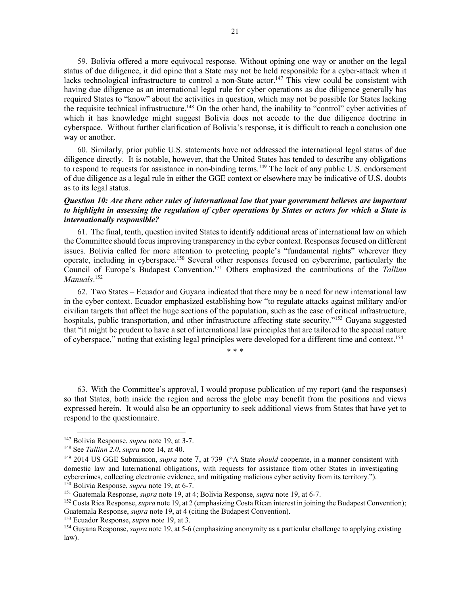59. Bolivia offered a more equivocal response. Without opining one way or another on the legal status of due diligence, it did opine that a State may not be held responsible for a cyber-attack when it lacks technological infrastructure to control a non-State actor.<sup>147</sup> This view could be consistent with having due diligence as an international legal rule for cyber operations as due diligence generally has required States to "know" about the activities in question, which may not be possible for States lacking the requisite technical infrastructure.<sup>148</sup> On the other hand, the inability to "control" cyber activities of which it has knowledge might suggest Bolivia does not accede to the due diligence doctrine in cyberspace. Without further clarification of Bolivia's response, it is difficult to reach a conclusion one way or another.

60. Similarly, prior public U.S. statements have not addressed the international legal status of due diligence directly. It is notable, however, that the United States has tended to describe any obligations to respond to requests for assistance in non-binding terms.<sup>149</sup> The lack of any public U.S. endorsement of due diligence as a legal rule in either the GGE context or elsewhere may be indicative of U.S. doubts as to its legal status.

#### *Question 10: Are there other rules of international law that your government believes are important to highlight in assessing the regulation of cyber operations by States or actors for which a State is internationally responsible?*

61. The final, tenth, question invited States to identify additional areas of international law on which the Committee should focus improving transparency in the cyber context. Responses focused on different issues. Bolivia called for more attention to protecting people's "fundamental rights" wherever they operate, including in cyberspace.150 Several other responses focused on cybercrime, particularly the Council of Europe's Budapest Convention.151 Others emphasized the contributions of the *Tallinn Manuals*. 152

62. Two States – Ecuador and Guyana indicated that there may be a need for new international law in the cyber context. Ecuador emphasized establishing how "to regulate attacks against military and/or civilian targets that affect the huge sections of the population, such as the case of critical infrastructure, hospitals, public transportation, and other infrastructure affecting state security."<sup>153</sup> Guyana suggested that "it might be prudent to have a set of international law principles that are tailored to the special nature of cyberspace," noting that existing legal principles were developed for a different time and context.154

\* \* \*

63. With the Committee's approval, I would propose publication of my report (and the responses) so that States, both inside the region and across the globe may benefit from the positions and views expressed herein. It would also be an opportunity to seek additional views from States that have yet to respond to the questionnaire.

<sup>&</sup>lt;sup>147</sup> Bolivia Response, *supra* not[e 19,](#page-3-0) at 3-7.<br><sup>148</sup> See *Tallinn 2.0, supra* note 14, at 40.

<sup>&</sup>lt;sup>149</sup> 2014 US GGE Submission, *supra* note [7,](#page-1-0) at 739 ("A State *should* cooperate, in a manner consistent with domestic law and International obligations, with requests for assistance from other States in investigating cybercrimes, collecting electronic evidence, and mitigating malicious cyber activity from its territory."). <sup>150</sup> Bolivia Response, *supra* not[e 19,](#page-3-0) at 6-7.

<sup>151</sup> Guatemala Response, *supra* note [19,](#page-3-0) at 4; Bolivia Response, *supra* not[e 19,](#page-3-0) at 6-7.

<sup>152</sup> Costa Rica Response, *supra* not[e 19,](#page-3-0) at 2 (emphasizing Costa Rican interest in joining the Budapest Convention); Guatemala Response, *supra* note [19,](#page-3-0) at 4 (citing the Budapest Convention). 153 Ecuador Response, *supra* note [19,](#page-3-0) at 3.

<sup>&</sup>lt;sup>154</sup> Guyana Response, *supra* not[e 19,](#page-3-0) at 5-6 (emphasizing anonymity as a particular challenge to applying existing law).